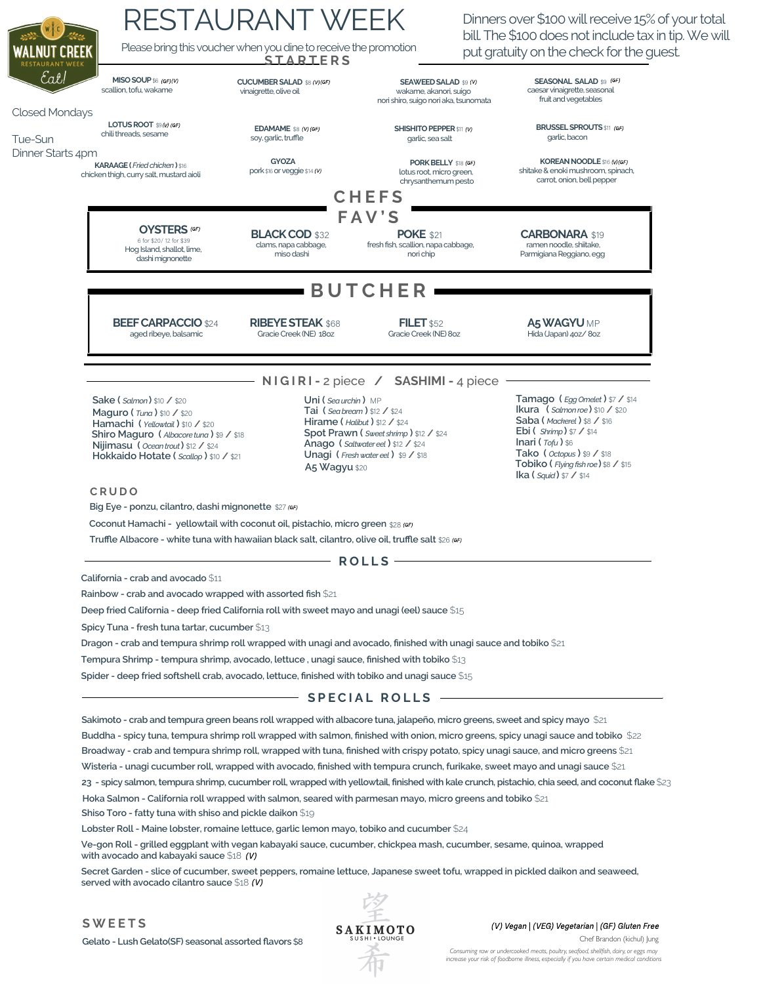|                                  | <b>RESTAURANT WEEK</b>                                                                                                                                                                                                                                                                                                                                                                                                                                       |                                                                                                                                                                                               |                                                                                                 | Dinners over \$100 will receive 15% of your total<br>bill. The \$100 does not include tax in tip. We will                                                                                                                                                                                                                      |  |
|----------------------------------|--------------------------------------------------------------------------------------------------------------------------------------------------------------------------------------------------------------------------------------------------------------------------------------------------------------------------------------------------------------------------------------------------------------------------------------------------------------|-----------------------------------------------------------------------------------------------------------------------------------------------------------------------------------------------|-------------------------------------------------------------------------------------------------|--------------------------------------------------------------------------------------------------------------------------------------------------------------------------------------------------------------------------------------------------------------------------------------------------------------------------------|--|
| VALNUT CREEK                     | Please bring this voucher when you dine to receive the promotion<br>put gratuity on the check for the guest.<br><b>STARTERS</b>                                                                                                                                                                                                                                                                                                                              |                                                                                                                                                                                               |                                                                                                 |                                                                                                                                                                                                                                                                                                                                |  |
| Eał!                             | MISO SOUP \$6 (GF)(V)<br>scallion, tofu, wakame                                                                                                                                                                                                                                                                                                                                                                                                              | <b>CUCUMBER SALAD \$8 (V)(GF)</b><br>vinaigrette, olive oil                                                                                                                                   | <b>SEAWEED SALAD \$9 (V)</b><br>wakame, akanori, suigo<br>nori shiro, suigo nori aka, tsunomata | <b>SEASONAL SALAD \$9 (GF)</b><br>caesar vinaigrette, seasonal<br>fruit and vegetables                                                                                                                                                                                                                                         |  |
| <b>Closed Mondays</b><br>Tue-Sun | <b>LOTUS ROOT</b> \$9( $W$ (GF)<br>chili threads, sesame                                                                                                                                                                                                                                                                                                                                                                                                     | EDAMAME \$8 (V) (GF)<br>soy, garlic, truffle                                                                                                                                                  | <b>SHISHITO PEPPER \$11 (V)</b><br>garlic, sea salt                                             | <b>BRUSSEL SPROUTS</b> \$11 (GF)<br>garlic, bacon                                                                                                                                                                                                                                                                              |  |
| Dinner Starts 4pm                | <b>KARAAGE</b> (Fried chicken) \$16<br>chicken thigh, curry salt, mustard aioli                                                                                                                                                                                                                                                                                                                                                                              | <b>GYOZA</b><br>pork \$16 or veggie \$14 (V)                                                                                                                                                  | PORK BELLY \$18 (GF)<br>lotus root, micro green,<br>chrysanthemum pesto                         | KOREAN NOODLE \$16 (V)(GF)<br>shitake & enoki mushroom, spinach,<br>carrot, onion, bell pepper                                                                                                                                                                                                                                 |  |
|                                  |                                                                                                                                                                                                                                                                                                                                                                                                                                                              |                                                                                                                                                                                               | <b>CHEFS</b>                                                                                    |                                                                                                                                                                                                                                                                                                                                |  |
|                                  | <b>FAV'S</b><br><b>OYSTERS</b> (GF)                                                                                                                                                                                                                                                                                                                                                                                                                          |                                                                                                                                                                                               |                                                                                                 |                                                                                                                                                                                                                                                                                                                                |  |
|                                  | 6 for \$20/12 for \$39<br>Hog Island, shallot, lime,<br>dashi mignonette                                                                                                                                                                                                                                                                                                                                                                                     | <b>BLACK COD \$32</b><br>clams, napa cabbage,<br>miso dashi                                                                                                                                   | <b>POKE \$21</b><br>fresh fish, scallion, napa cabbage,<br>nori chip                            | <b>CARBONARA \$19</b><br>ramen noodle, shiitake,<br>Parmigiana Reggiano, egg                                                                                                                                                                                                                                                   |  |
|                                  | <b>BUTCHER</b>                                                                                                                                                                                                                                                                                                                                                                                                                                               |                                                                                                                                                                                               |                                                                                                 |                                                                                                                                                                                                                                                                                                                                |  |
|                                  | <b>BEEF CARPACCIO \$24</b><br>aged ribeye, balsamic                                                                                                                                                                                                                                                                                                                                                                                                          | <b>RIBEYE STEAK \$68</b><br>Gracie Creek (NE) 180Z                                                                                                                                            | <b>FILET</b> \$52<br>Gracie Creek (NE) 8oz                                                      | A5 WAGYU MP<br>Hida (Japan) 40Z/80Z                                                                                                                                                                                                                                                                                            |  |
|                                  | NIGIRI-2 piece / SASHIMI-4 piece                                                                                                                                                                                                                                                                                                                                                                                                                             |                                                                                                                                                                                               |                                                                                                 |                                                                                                                                                                                                                                                                                                                                |  |
|                                  | Uni ( $Sea$ urchin) MP<br>$Sake(Salmon)$ \$10 / \$20<br>Tai (Sea bream) $$12$ / $$24$<br>Maquro ( $Tuna$ ) \$10 / \$20<br>Hirame ( $Halibut$ ) \$12 / \$24<br>Hamachi (Yellowtail) \$10 / \$20<br>Spot Prawn (Sweet shrimp) \$12 / \$24<br>Shiro Maguro (Albacore tuna) \$9 / \$18<br>Anago (Saltwatereel) \$12 / \$24<br>Nijimasu (Ocean trout) \$12 / \$24<br>Unagi (Fresh water eel) \$9 / \$18<br>Hokkaido Hotate (Scallop) \$10 / \$21<br>A5 Wagyu \$20 |                                                                                                                                                                                               |                                                                                                 | <b>Tamago</b> ( <i>Egg Omelet</i> ) $$7$ / $$14$<br><b>Ikura</b> ( $\text{Salmon}$ roe) \$10 / \$20<br>Saba (Mackerel) \$8 / \$16<br><b>Ebi</b> ( <i>Shrimp</i> ) $$7$ / $$14$<br>Inari $(\tau_{ofu})$ \$6<br>Tako ( $Octopus$ ) $$9/$ \$18<br>Tobiko (Flying fish roe) \$8 / \$15<br><b>Ika (</b> <i>Squid</i> ) $$7$ / $$14$ |  |
|                                  | <b>CRUDO</b>                                                                                                                                                                                                                                                                                                                                                                                                                                                 |                                                                                                                                                                                               |                                                                                                 |                                                                                                                                                                                                                                                                                                                                |  |
|                                  | Big Eye - ponzu, cilantro, dashi mignonette \$27 (GF)                                                                                                                                                                                                                                                                                                                                                                                                        |                                                                                                                                                                                               |                                                                                                 |                                                                                                                                                                                                                                                                                                                                |  |
|                                  | Coconut Hamachi - yellowtail with coconut oil, pistachio, micro green \$28 (GF)                                                                                                                                                                                                                                                                                                                                                                              |                                                                                                                                                                                               |                                                                                                 |                                                                                                                                                                                                                                                                                                                                |  |
|                                  | Truffle Albacore - white tuna with hawaiian black salt, cilantro, olive oil, truffle salt \$26 (GF)                                                                                                                                                                                                                                                                                                                                                          |                                                                                                                                                                                               |                                                                                                 |                                                                                                                                                                                                                                                                                                                                |  |
|                                  | $ROLLS -$                                                                                                                                                                                                                                                                                                                                                                                                                                                    |                                                                                                                                                                                               |                                                                                                 |                                                                                                                                                                                                                                                                                                                                |  |
|                                  | California - crab and avocado \$11                                                                                                                                                                                                                                                                                                                                                                                                                           |                                                                                                                                                                                               |                                                                                                 |                                                                                                                                                                                                                                                                                                                                |  |
|                                  | Rainbow - crab and avocado wrapped with assorted fish \$21                                                                                                                                                                                                                                                                                                                                                                                                   |                                                                                                                                                                                               |                                                                                                 |                                                                                                                                                                                                                                                                                                                                |  |
|                                  |                                                                                                                                                                                                                                                                                                                                                                                                                                                              | Deep fried California - deep fried California roll with sweet mayo and unagi (eel) sauce \$15                                                                                                 |                                                                                                 |                                                                                                                                                                                                                                                                                                                                |  |
|                                  | Spicy Tuna - fresh tuna tartar, cucumber \$13                                                                                                                                                                                                                                                                                                                                                                                                                |                                                                                                                                                                                               |                                                                                                 |                                                                                                                                                                                                                                                                                                                                |  |
|                                  | Dragon - crab and tempura shrimp roll wrapped with unagi and avocado, finished with unagi sauce and tobiko $$21$                                                                                                                                                                                                                                                                                                                                             |                                                                                                                                                                                               |                                                                                                 |                                                                                                                                                                                                                                                                                                                                |  |
|                                  |                                                                                                                                                                                                                                                                                                                                                                                                                                                              | Tempura Shrimp - tempura shrimp, avocado, lettuce, unagi sauce, finished with tobiko \$13<br>Spider - deep fried softshell crab, avocado, lettuce, finished with tobiko and unagi sauce $$15$ |                                                                                                 |                                                                                                                                                                                                                                                                                                                                |  |
|                                  |                                                                                                                                                                                                                                                                                                                                                                                                                                                              |                                                                                                                                                                                               |                                                                                                 |                                                                                                                                                                                                                                                                                                                                |  |
|                                  | $-$ SPECIAL ROLLS $-$                                                                                                                                                                                                                                                                                                                                                                                                                                        |                                                                                                                                                                                               |                                                                                                 |                                                                                                                                                                                                                                                                                                                                |  |
|                                  | Sakimoto - crab and tempura green beans roll wrapped with albacore tuna, jalapeño, micro greens, sweet and spicy mayo $\$$ 21                                                                                                                                                                                                                                                                                                                                |                                                                                                                                                                                               |                                                                                                 |                                                                                                                                                                                                                                                                                                                                |  |
|                                  | Buddha - spicy tuna, tempura shrimp roll wrapped with salmon, finished with onion, micro greens, spicy unagi sauce and tobiko \$22                                                                                                                                                                                                                                                                                                                           |                                                                                                                                                                                               |                                                                                                 |                                                                                                                                                                                                                                                                                                                                |  |
|                                  | Broadway - crab and tempura shrimp roll, wrapped with tuna, finished with crispy potato, spicy unagi sauce, and micro greens \$21                                                                                                                                                                                                                                                                                                                            |                                                                                                                                                                                               |                                                                                                 |                                                                                                                                                                                                                                                                                                                                |  |
|                                  | Wisteria - unagi cucumber roll, wrapped with avocado, finished with tempura crunch, furikake, sweet mayo and unagi sauce \$21                                                                                                                                                                                                                                                                                                                                |                                                                                                                                                                                               |                                                                                                 |                                                                                                                                                                                                                                                                                                                                |  |
|                                  | 23 - spicy salmon, tempura shrimp, cucumber roll, wrapped with yellowtail, finished with kale crunch, pistachio, chia seed, and coconut flake \$23<br>Hoka Salmon - California roll wrapped with salmon, seared with parmesan mayo, micro greens and tobiko $$21$<br>Shiso Toro - fatty tuna with shiso and pickle daikon $\$ 19$                                                                                                                            |                                                                                                                                                                                               |                                                                                                 |                                                                                                                                                                                                                                                                                                                                |  |
|                                  | Lobster Roll - Maine lobster, romaine lettuce, garlic lemon mayo, tobiko and cucumber \$24                                                                                                                                                                                                                                                                                                                                                                   |                                                                                                                                                                                               |                                                                                                 |                                                                                                                                                                                                                                                                                                                                |  |
|                                  | Ve-gon Roll - grilled eggplant with vegan kabayaki sauce, cucumber, chickpea mash, cucumber, sesame, quinoa, wrapped<br>with avocado and kabayaki sauce \$18 (V)                                                                                                                                                                                                                                                                                             |                                                                                                                                                                                               |                                                                                                 |                                                                                                                                                                                                                                                                                                                                |  |
|                                  | Secret Garden - slice of cucumber, sweet peppers, romaine lettuce, Japanese sweet tofu, wrapped in pickled daikon and seaweed,<br>served with avocado cilantro sauce $$18$ (V)                                                                                                                                                                                                                                                                               |                                                                                                                                                                                               |                                                                                                 |                                                                                                                                                                                                                                                                                                                                |  |
|                                  |                                                                                                                                                                                                                                                                                                                                                                                                                                                              |                                                                                                                                                                                               |                                                                                                 |                                                                                                                                                                                                                                                                                                                                |  |

**S W E E T S**

 $\sqrt{\phantom{a}}$ 

**Gelato - Lush Gelato(SF) seasonal assorted flavors** \$8



(V) Vegan | (VEG) Vegetarian | (GF) Gluten Free

*Consuming raw or undercooked meats, poultry, seafood, shellfish, dairy, or eggs may increase your risk of foodborne illness, especially if you have certain medical conditions* Chef Brandon (kichul) Jung